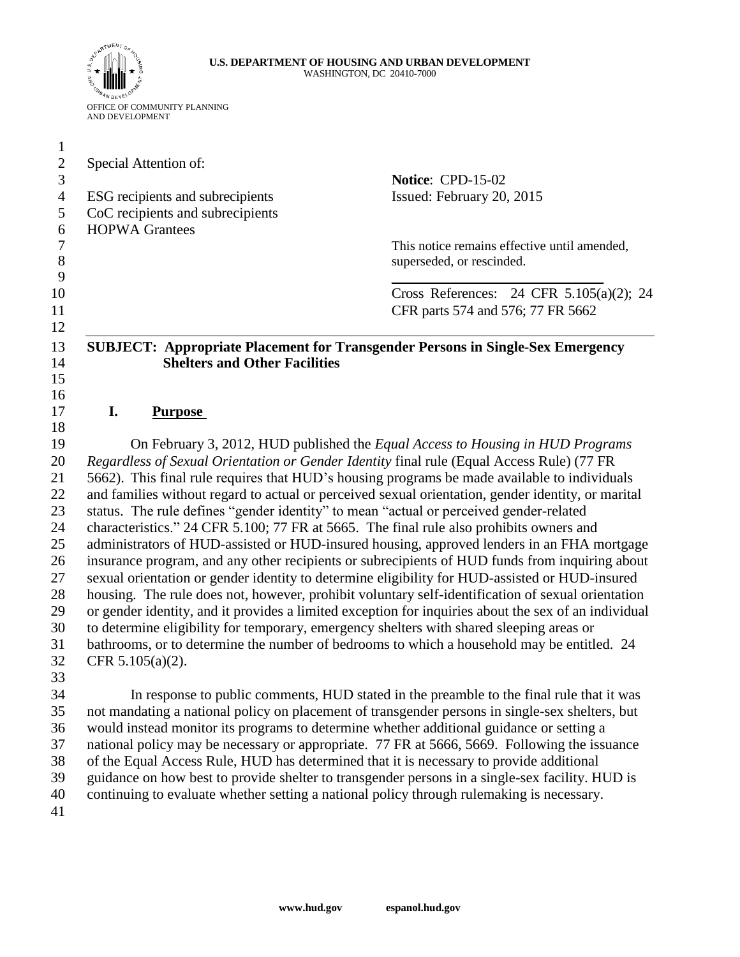#### **U.S. DEPARTMENT OF HOUSING AND URBAN DEVELOPMENT** WASHINGTON, DC 20410-7000



| Special Attention of:                                                                           | Notice: CPD-15-02                                                                                    |
|-------------------------------------------------------------------------------------------------|------------------------------------------------------------------------------------------------------|
| ESG recipients and subrecipients<br>CoC recipients and subrecipients<br><b>HOPWA Grantees</b>   | Issued: February 20, 2015                                                                            |
|                                                                                                 | This notice remains effective until amended,<br>superseded, or rescinded.                            |
|                                                                                                 | Cross References: 24 CFR 5.105(a)(2); 24<br>CFR parts 574 and 576; 77 FR 5662                        |
| <b>Shelters and Other Facilities</b>                                                            | <b>SUBJECT: Appropriate Placement for Transgender Persons in Single-Sex Emergency</b>                |
|                                                                                                 |                                                                                                      |
| I.<br><b>Purpose</b>                                                                            |                                                                                                      |
|                                                                                                 |                                                                                                      |
|                                                                                                 | On February 3, 2012, HUD published the <i>Equal Access to Housing in HUD Programs</i>                |
|                                                                                                 | Regardless of Sexual Orientation or Gender Identity final rule (Equal Access Rule) (77 FR            |
|                                                                                                 | 5662). This final rule requires that HUD's housing programs be made available to individuals         |
|                                                                                                 | and families without regard to actual or perceived sexual orientation, gender identity, or marital   |
| status. The rule defines "gender identity" to mean "actual or perceived gender-related          |                                                                                                      |
|                                                                                                 | characteristics." 24 CFR 5.100; 77 FR at 5665. The final rule also prohibits owners and              |
|                                                                                                 | administrators of HUD-assisted or HUD-insured housing, approved lenders in an FHA mortgage           |
|                                                                                                 | insurance program, and any other recipients or subrecipients of HUD funds from inquiring about       |
|                                                                                                 | sexual orientation or gender identity to determine eligibility for HUD-assisted or HUD-insured       |
|                                                                                                 | housing. The rule does not, however, prohibit voluntary self-identification of sexual orientation    |
|                                                                                                 | or gender identity, and it provides a limited exception for inquiries about the sex of an individual |
|                                                                                                 | to determine eligibility for temporary, emergency shelters with shared sleeping areas or             |
| bathrooms, or to determine the number of bedrooms to which a household may be entitled. 24      |                                                                                                      |
| CFR $5.105(a)(2)$ .                                                                             |                                                                                                      |
|                                                                                                 |                                                                                                      |
|                                                                                                 | In response to public comments, HUD stated in the preamble to the final rule that it was             |
|                                                                                                 | not mandating a national policy on placement of transgender persons in single-sex shelters, but      |
|                                                                                                 | would instead monitor its programs to determine whether additional guidance or setting a             |
|                                                                                                 | national policy may be necessary or appropriate. 77 FR at 5666, 5669. Following the issuance         |
|                                                                                                 | of the Equal Access Rule, HUD has determined that it is necessary to provide additional              |
| guidance on how best to provide shelter to transgender persons in a single-sex facility. HUD is |                                                                                                      |

continuing to evaluate whether setting a national policy through rulemaking is necessary.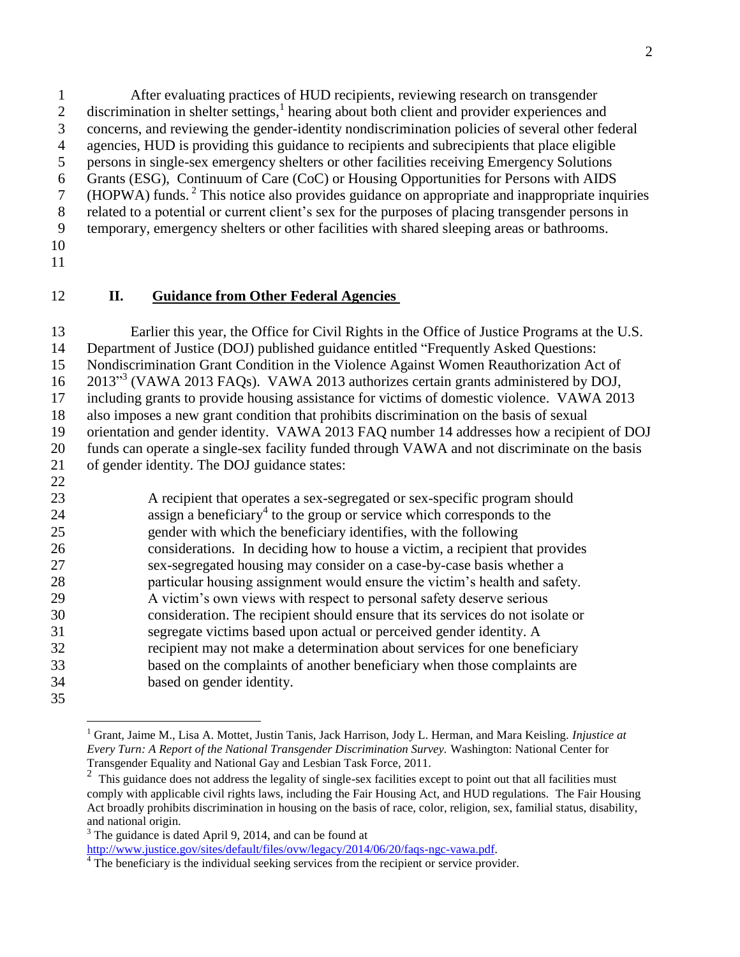After evaluating practices of HUD recipients, reviewing research on transgender 2 discrimination in shelter settings,<sup>1</sup> hearing about both client and provider experiences and concerns, and reviewing the gender-identity nondiscrimination policies of several other federal agencies, HUD is providing this guidance to recipients and subrecipients that place eligible persons in single-sex emergency shelters or other facilities receiving Emergency Solutions Grants (ESG), Continuum of Care (CoC) or Housing Opportunities for Persons with AIDS 7 (HOPWA) funds.<sup>2</sup> This notice also provides guidance on appropriate and inappropriate inquiries related to a potential or current client's sex for the purposes of placing transgender persons in temporary, emergency shelters or other facilities with shared sleeping areas or bathrooms.

- 
- 

 $\overline{a}$ 

### **II. Guidance from Other Federal Agencies**

 Earlier this year, the Office for Civil Rights in the Office of Justice Programs at the U.S. Department of Justice (DOJ) published guidance entitled "Frequently Asked Questions: Nondiscrimination Grant Condition in the Violence Against Women Reauthorization Act of 16 2013<sup>33</sup> (VAWA 2013 FAQs). VAWA 2013 authorizes certain grants administered by DOJ, including grants to provide housing assistance for victims of domestic violence. VAWA 2013 also imposes a new grant condition that prohibits discrimination on the basis of sexual orientation and gender identity. VAWA 2013 FAQ number 14 addresses how a recipient of DOJ funds can operate a single-sex facility funded through VAWA and not discriminate on the basis of gender identity. The DOJ guidance states: 

 A recipient that operates a sex-segregated or sex-specific program should assign a beneficiary<sup>4</sup> to the group or service which corresponds to the gender with which the beneficiary identifies, with the following considerations. In deciding how to house a victim, a recipient that provides sex-segregated housing may consider on a case-by-case basis whether a particular housing assignment would ensure the victim's health and safety. A victim's own views with respect to personal safety deserve serious consideration. The recipient should ensure that its services do not isolate or segregate victims based upon actual or perceived gender identity. A recipient may not make a determination about services for one beneficiary based on the complaints of another beneficiary when those complaints are based on gender identity.

The guidance is dated April 9, 2014, and can be found at

[http://www.justice.gov/sites/default/files/ovw/legacy/2014/06/20/faqs-ngc-vawa.pdf.](http://www.justice.gov/sites/default/files/ovw/legacy/2014/06/20/faqs-ngc-vawa.pdf)

 Grant, Jaime M., Lisa A. Mottet, Justin Tanis, Jack Harrison, Jody L. Herman, and Mara Keisling. *Injustice at Every Turn: A Report of the National Transgender Discrimination Survey.* Washington: National Center for Transgender Equality and National Gay and Lesbian Task Force, 2011.

<sup>&</sup>lt;sup>2</sup> This guidance does not address the legality of single-sex facilities except to point out that all facilities must comply with applicable civil rights laws, including the Fair Housing Act, and HUD regulations. The Fair Housing Act broadly prohibits discrimination in housing on the basis of race, color, religion, sex, familial status, disability, and national origin.

<sup>&</sup>lt;sup>4</sup> The beneficiary is the individual seeking services from the recipient or service provider.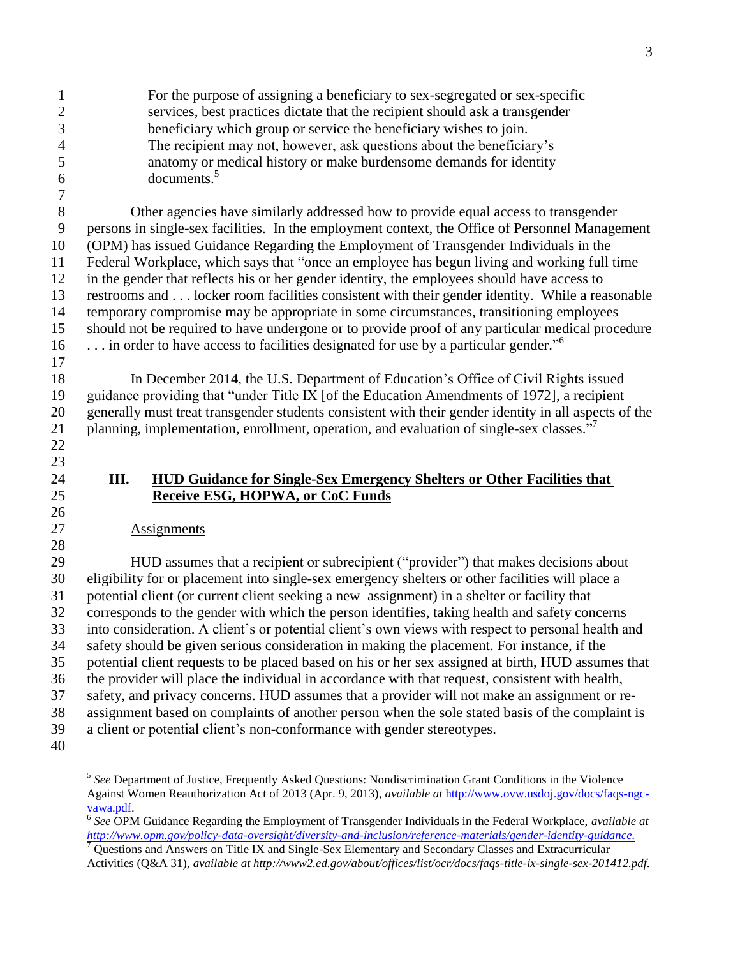For the purpose of assigning a beneficiary to sex-segregated or sex-specific services, best practices dictate that the recipient should ask a transgender beneficiary which group or service the beneficiary wishes to join. The recipient may not, however, ask questions about the beneficiary's anatomy or medical history or make burdensome demands for identity documents.<sup>5</sup> 

 Other agencies have similarly addressed how to provide equal access to transgender persons in single-sex facilities. In the employment context, the Office of Personnel Management (OPM) has issued Guidance Regarding the Employment of Transgender Individuals in the Federal Workplace, which says that "once an employee has begun living and working full time in the gender that reflects his or her gender identity, the employees should have access to restrooms and . . . locker room facilities consistent with their gender identity. While a reasonable temporary compromise may be appropriate in some circumstances, transitioning employees should not be required to have undergone or to provide proof of any particular medical procedure 16 ... in order to have access to facilities designated for use by a particular gender."<sup>6</sup>

 In December 2014, the U.S. Department of Education's Office of Civil Rights issued guidance providing that "under Title IX [of the Education Amendments of 1972], a recipient generally must treat transgender students consistent with their gender identity in all aspects of the planning, implementation, enrollment, operation, and evaluation of single-sex classes."<sup>7</sup> 

## **III. HUD Guidance for Single-Sex Emergency Shelters or Other Facilities that Receive ESG, HOPWA, or CoC Funds**

## Assignments

 HUD assumes that a recipient or subrecipient ("provider") that makes decisions about eligibility for or placement into single-sex emergency shelters or other facilities will place a potential client (or current client seeking a new assignment) in a shelter or facility that corresponds to the gender with which the person identifies, taking health and safety concerns into consideration. A client's or potential client's own views with respect to personal health and safety should be given serious consideration in making the placement. For instance, if the potential client requests to be placed based on his or her sex assigned at birth, HUD assumes that the provider will place the individual in accordance with that request, consistent with health, safety, and privacy concerns. HUD assumes that a provider will not make an assignment or re- assignment based on complaints of another person when the sole stated basis of the complaint is a client or potential client's non-conformance with gender stereotypes.

 $\overline{a}$ 

<sup>&</sup>lt;sup>5</sup> See Department of Justice, Frequently Asked Questions: Nondiscrimination Grant Conditions in the Violence Against Women Reauthorization Act of 2013 (Apr. 9, 2013), *available at* [http://www.ovw.usdoj.gov/docs/faqs-ngc](http://www.ovw.usdoj.gov/docs/faqs-ngc-vawa.pdf)[vawa.pdf.](http://www.ovw.usdoj.gov/docs/faqs-ngc-vawa.pdf)

 *See* OPM Guidance Regarding the Employment of Transgender Individuals in the Federal Workplace, *available at [http://www.opm.gov/policy-data-oversight/diversity-and-inclusion/reference-materials/gender-identity-guidance.](http://www.opm.gov/policy-data-oversight/diversity-and-inclusion/reference-materials/gender-identity-guidance/)*<br>7 Openties see the contract contract contract contract contract contract contract contract contract contract

 Questions and Answers on Title IX and Single-Sex Elementary and Secondary Classes and Extracurricular Activities (Q&A 31), *available at http://www2.ed.gov/about/offices/list/ocr/docs/faqs-title-ix-single-sex-201412.pdf.*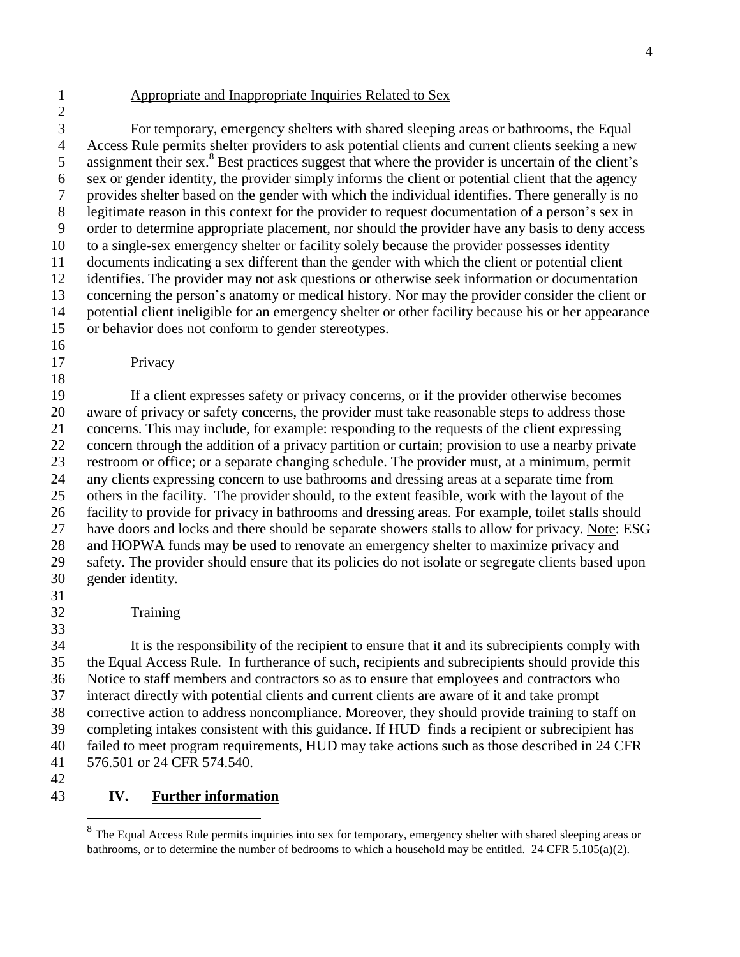### Appropriate and Inappropriate Inquiries Related to Sex

 For temporary, emergency shelters with shared sleeping areas or bathrooms, the Equal Access Rule permits shelter providers to ask potential clients and current clients seeking a new 5 assignment their sex.<sup>8</sup> Best practices suggest that where the provider is uncertain of the client's sex or gender identity, the provider simply informs the client or potential client that the agency provides shelter based on the gender with which the individual identifies. There generally is no legitimate reason in this context for the provider to request documentation of a person's sex in order to determine appropriate placement, nor should the provider have any basis to deny access to a single-sex emergency shelter or facility solely because the provider possesses identity documents indicating a sex different than the gender with which the client or potential client identifies. The provider may not ask questions or otherwise seek information or documentation concerning the person's anatomy or medical history. Nor may the provider consider the client or potential client ineligible for an emergency shelter or other facility because his or her appearance or behavior does not conform to gender stereotypes.

# Privacy

 If a client expresses safety or privacy concerns, or if the provider otherwise becomes aware of privacy or safety concerns, the provider must take reasonable steps to address those concerns. This may include, for example: responding to the requests of the client expressing concern through the addition of a privacy partition or curtain; provision to use a nearby private restroom or office; or a separate changing schedule. The provider must, at a minimum, permit any clients expressing concern to use bathrooms and dressing areas at a separate time from others in the facility. The provider should, to the extent feasible, work with the layout of the facility to provide for privacy in bathrooms and dressing areas. For example, toilet stalls should have doors and locks and there should be separate showers stalls to allow for privacy. Note: ESG and HOPWA funds may be used to renovate an emergency shelter to maximize privacy and safety. The provider should ensure that its policies do not isolate or segregate clients based upon gender identity. 

- 
- Training

 It is the responsibility of the recipient to ensure that it and its subrecipients comply with the Equal Access Rule. In furtherance of such, recipients and subrecipients should provide this Notice to staff members and contractors so as to ensure that employees and contractors who interact directly with potential clients and current clients are aware of it and take prompt corrective action to address noncompliance. Moreover, they should provide training to staff on completing intakes consistent with this guidance. If HUD finds a recipient or subrecipient has failed to meet program requirements, HUD may take actions such as those described in 24 CFR 576.501 or 24 CFR 574.540.

 $\overline{a}$ 

## **IV. Further information**

 $8<sup>8</sup>$  The Equal Access Rule permits inquiries into sex for temporary, emergency shelter with shared sleeping areas or bathrooms, or to determine the number of bedrooms to which a household may be entitled. 24 CFR 5.105(a)(2).